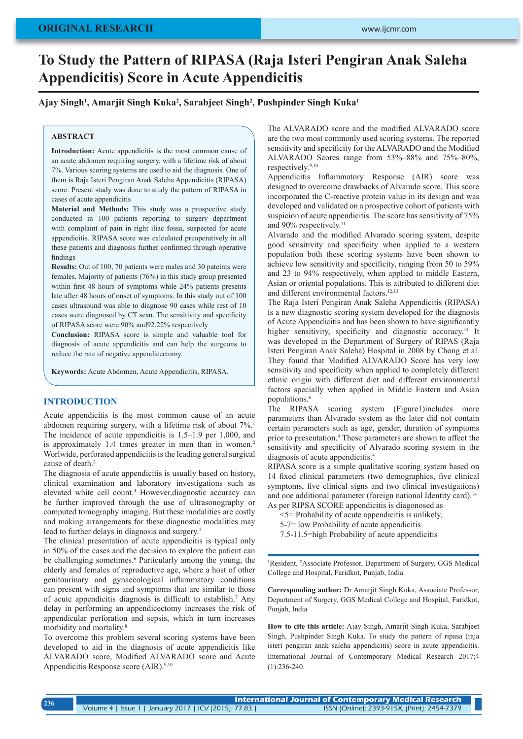# **To Study the Pattern of RIPASA (Raja Isteri Pengiran Anak Saleha Appendicitis) Score in Acute Appendicitis**

## **Ajay Singh1 , Amarjit Singh Kuka2 , Sarabjeet Singh2 , Pushpinder Singh Kuka1**

#### **ABSTRACT**

**Introduction:** Acute appendicitis is the most common cause of an acute abdomen requiring surgery, with a lifetime risk of about 7%. Various scoring systems are used to aid the diagnosis. One of them is Raja Isteri Pengiran Anak Saleha Appendicitis (RIPASA) score. Present study was done to study the pattern of RIPASA in cases of acute appendicitis

**Material and Methods:** This study was a prospective study conducted in 100 patients reporting to surgery department with complaint of pain in right iliac fossa, suspected for acute appendicitis. RIPASA score was calculated preoperatively in all these patients and diagnosis further confirmed through operative findings

**Results:** Out of 100, 70 patients were males and 30 pateints were females. Majority of patients (76%) in this study group presented within first 48 hours of symptoms while 24% patients presents late after 48 hours of onset of symptoms. In this study out of 100 cases ultrasound was able to diagnose 90 cases while rest of 10 cases were diagnosed by CT scan. The sensitivity and specificity of RIPASA score were 90% and92.22% respectively

**Conclusion:** RIPASA score is simple and valuable tool for diagnosis of acute appendicitis and can help the surgeons to reduce the rate of negative appendicectomy.

**Keywords:** Acute Abdomen, Acute Appendicitis, RIPASA.

# **INTRODUCTION**

Acute appendicitis is the most common cause of an acute abdomen requiring surgery, with a lifetime risk of about  $7\%$ .<sup>1</sup> The incidence of acute appendicitis is 1.5–1.9 per 1,000, and is approximately 1.4 times greater in men than in women.<sup>2</sup> Worlwide, perforated appendicitis is the leading general surgical cause of death.<sup>3</sup>

The diagnosis of acute appendicitis is usually based on history, clinical examination and laboratory investigations such as elevated white cell count.<sup>4</sup> However, diagnostic accuracy can be further improved through the use of ultrasonography or computed tomography imaging. But these modalities are costly and making arrangements for these diagnostic modalities may lead to further delays in diagnosis and surgery.5

The clinical presentation of acute appendicitis is typical only in 50% of the cases and the decision to explore the patient can be challenging sometimes.<sup>6</sup> Particularly among the young, the elderly and females of reproductive age, where a host of other genitourinary and gynaecological inflammatory conditions can present with signs and symptoms that are similar to those of acute appendicitis diagnosis is difficult to establish.<sup>7</sup> Any delay in performing an appendicectomy increases the risk of appendicular perforation and sepsis, which in turn increases morbidity and mortality.<sup>8</sup>

To overcome this problem several scoring systems have been developed to aid in the diagnosis of acute appendicitis like ALVARADO score, Modified ALVARADO score and Acute Appendicitis Response score (AIR).<sup>9,10</sup>

The ALVARADO score and the modified ALVARADO score are the two most commonly used scoring systems. The reported sensitivity and specificity for the ALVARADO and the Modified ALVARADO Scores range from 53%–88% and 75%–80%, respectively.9,10

Appendicitis Inflammatory Response (AIR) score was designed to overcome drawbacks of Alvarado score. This score incorporated the C-reactive protein value in its design and was developed and validated on a prospective cohort of patients with suspicion of acute appendicitis. The score has sensitivity of 75% and 90% respectively.<sup>11</sup>

Alvarado and the modified Alvarado scoring system, despite good sensitivity and specificity when applied to a western population both these scoring systems have been shown to achieve low sensitivity and specificity, ranging from 50 to 59% and 23 to 94% respectively, when applied to middle Eastern, Asian or oriental populations. This is attributed to different diet and different environmental factors.<sup>12,13</sup>

The Raja Isteri Pengiran Anak Saleha Appendicitis (RIPASA) is a new diagnostic scoring system developed for the diagnosis of Acute Appendicitis and has been shown to have significantly higher sensitivity, specificity and diagnostic accuracy.<sup>14</sup> It was developed in the Department of Surgery of RIPAS (Raja Isteri Pengiran Anak Saleha) Hospital in 2008 by Chong et al. They found that Modified ALVARADO Score has very low sensitivity and specificity when applied to completely different ethnic origin with different diet and different environmental factors specially when applied in Middle Eastern and Asian populations.<sup>6</sup>

The RIPASA scoring system (Figure1)includes more parameters than Alvarado system as the later did not contain certain parameters such as age, gender, duration of symptoms prior to presentation.<sup>4</sup> These parameters are shown to affect the sensitivity and specificity of Alvarado scoring system in the diagnosis of acute appendicitis.<sup>4</sup>

RIPASA score is a simple qualitative scoring system based on 14 fixed clinical parameters (two demographics, five clinical symptoms, five clinical signs and two clinical investigations) and one additional parameter (foreign national Identity card).<sup>14</sup> As per RIPSA SCORE appendicitis is diagonosed as

 $\leq$  = Probability of acute appendicitis is unlikely,

- 5-7= low Probability of acute appendicitis
- 7.5-11.5=high Probability of acute appendicitis

<sup>1</sup>Resident, <sup>2</sup>Associate Professor, Department of Surgery, GGS Medical College and Hospital, Faridkot, Punjab, India

**Corresponding author:** Dr Amarjit Singh Kuka, Associate Professor, Department of Surgery, GGS Medical College and Hospital, Faridkot, Punjab, India

**How to cite this article:** Ajay Singh, Amarjit Singh Kuka, Sarabjeet Singh, Pushpinder Singh Kuka. To study the pattern of ripasa (raja isteri pengiran anak saleha appendicitis) score in acute appendicitis. International Journal of Contemporary Medical Research 2017;4 (1):236-240.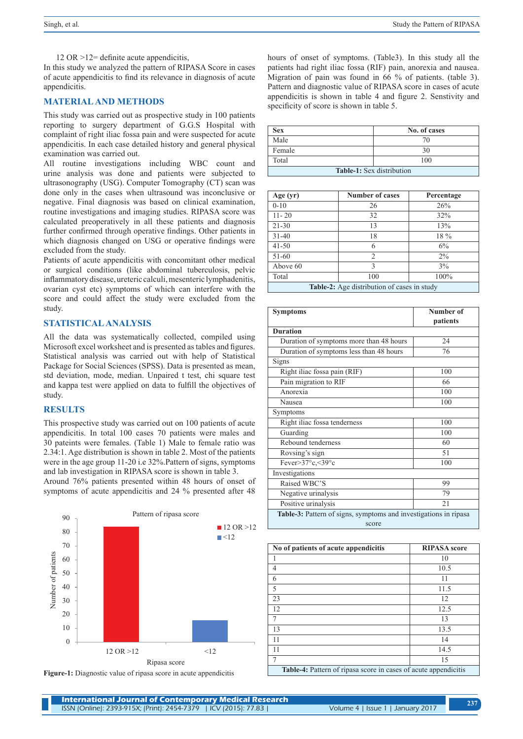12 OR >12= definite acute appendicitis,

In this study we analyzed the pattern of RIPASA Score in cases of acute appendicitis to find its relevance in diagnosis of acute appendicitis.

# **MATERIAL AND METHODS**

This study was carried out as prospective study in 100 patients reporting to surgery department of G.G.S Hospital with complaint of right iliac fossa pain and were suspected for acute appendicitis. In each case detailed history and general physical examination was carried out.

All routine investigations including WBC count and urine analysis was done and patients were subjected to ultrasonography (USG). Computer Tomography (CT) scan was done only in the cases when ultrasound was inconclusive or negative. Final diagnosis was based on clinical examination, routine investigations and imaging studies. RIPASA score was calculated preoperatively in all these patients and diagnosis further confirmed through operative findings. Other patients in which diagnosis changed on USG or operative findings were excluded from the study.

Patients of acute appendicitis with concomitant other medical or surgical conditions (like abdominal tuberculosis, pelvic inflammatory disease, ureteric calculi, mesenteric lymphadenitis, ovarian cyst etc) symptoms of which can interfere with the score and could affect the study were excluded from the study.

### **STATISTICAL ANALYSIS**

All the data was systematically collected, compiled using Microsoft excel worksheet and is presented as tables and figures. Statistical analysis was carried out with help of Statistical Package for Social Sciences (SPSS). Data is presented as mean, std deviation, mode, median. Unpaired t test, chi square test and kappa test were applied on data to fulfill the objectives of study.

# **RESULTS**

This prospective study was carried out on 100 patients of acute appendicitis. In total 100 cases 70 patients were males and 30 pateints were females. (Table 1) Male to female ratio was 2.34:1. Age distribution is shown in table 2. Most of the patients were in the age group 11-20 i.e 32%.Pattern of signs, symptoms and lab investigation in RIPASA score is shown in table 3.

Around 76% patients presented within 48 hours of onset of symptoms of acute appendicitis and 24 % presented after 48



**Figure-1:** Diagnostic value of ripasa score in acute appendicitis

hours of onset of symptoms. (Table3). In this study all the patients had right iliac fossa (RIF) pain, anorexia and nausea. Migration of pain was found in 66 % of patients. (table 3). Pattern and diagnostic value of RIPASA score in cases of acute appendicitis is shown in table 4 and figure 2. Senstivity and specificity of score is shown in table 5.

| <b>Sex</b>                       | No. of cases |  |
|----------------------------------|--------------|--|
| Male                             | 70           |  |
| Female                           | 30           |  |
| Total                            | 100          |  |
| <b>Table-1:</b> Sex distribution |              |  |

| Age $(yr)$                                         | <b>Number of cases</b> | Percentage |
|----------------------------------------------------|------------------------|------------|
| $0 - 10$                                           | 26%<br>26              |            |
| $11 - 20$                                          | 32<br>32%              |            |
| $21 - 30$                                          | 13<br>13%              |            |
| $31 - 40$                                          | 18 %<br>18             |            |
| $41 - 50$                                          | 6                      | 6%         |
| $\mathfrak{D}$<br>51-60<br>$2\%$                   |                        |            |
| Above 60                                           | 3                      | 3%         |
| Total                                              | 100                    | 100%       |
| <b>Table-2:</b> Age distribution of cases in study |                        |            |

| <b>Symptoms</b>                                                  | Number of |  |
|------------------------------------------------------------------|-----------|--|
|                                                                  | patients  |  |
| <b>Duration</b>                                                  |           |  |
| Duration of symptoms more than 48 hours                          | 24        |  |
| Duration of symptoms less than 48 hours                          | 76        |  |
| Signs                                                            |           |  |
| Right iliac fossa pain (RIF)                                     | 100       |  |
| Pain migration to RIF                                            | 66        |  |
| Anorexia                                                         | 100       |  |
| Nausea                                                           | 100       |  |
| Symptoms                                                         |           |  |
| Right iliac fossa tenderness                                     | 100       |  |
| Guarding                                                         | 100       |  |
| Rebound tenderness                                               | 60        |  |
| Rovsing's sign                                                   | 51        |  |
| Fever>37°c,<39°c                                                 | 100       |  |
| Investigations                                                   |           |  |
| Raised WBC'S                                                     | 99        |  |
| Negative urinalysis                                              | 79        |  |
| Positive urinalysis                                              | 21        |  |
| Table-3: Pattern of signs, symptoms and investigations in ripasa |           |  |
| score                                                            |           |  |

| No of patients of acute appendicitis                            | <b>RIPASA</b> score |  |
|-----------------------------------------------------------------|---------------------|--|
|                                                                 | 10                  |  |
| $\overline{4}$                                                  | 10.5                |  |
| 6                                                               | 11                  |  |
| 5                                                               | 11.5                |  |
| 23                                                              | 12                  |  |
| 12                                                              | 12.5                |  |
| 7                                                               | 13                  |  |
| 13                                                              | 13.5                |  |
| 11                                                              | 14                  |  |
| 11                                                              | 14.5                |  |
| $\overline{7}$                                                  | 15                  |  |
| Table-4: Pattern of ripasa score in cases of acute appendicitis |                     |  |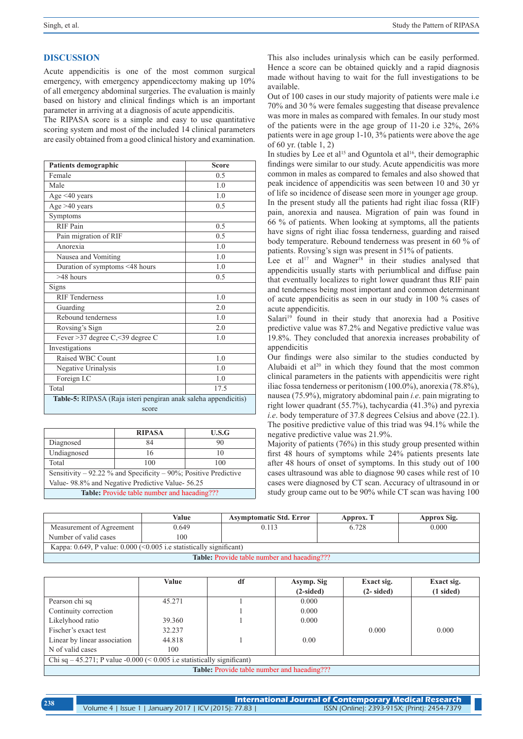#### **DISCUSSION**

Acute appendicitis is one of the most common surgical emergency, with emergency appendicectomy making up 10% of all emergency abdominal surgeries. The evaluation is mainly based on history and clinical findings which is an important parameter in arriving at a diagnosis of acute appendicitis.

The RIPASA score is a simple and easy to use quantitative scoring system and most of the included 14 clinical parameters are easily obtained from a good clinical history and examination.

| Patients demographic                                                   | <b>Score</b> |  |
|------------------------------------------------------------------------|--------------|--|
| Female                                                                 | 0.5          |  |
| Male                                                                   | 1.0          |  |
| Age $\leq 40$ years                                                    | 1.0          |  |
| Age $>40$ years                                                        | 0.5          |  |
| Symptoms                                                               |              |  |
| RIF Pain                                                               | 0.5          |  |
| Pain migration of RIF                                                  | 0.5          |  |
| Anorexia                                                               | 1.0          |  |
| Nausea and Vomiting                                                    | 1.0          |  |
| Duration of symptoms <48 hours                                         | 1.0          |  |
| $>48$ hours                                                            | 0.5          |  |
| Signs                                                                  |              |  |
| <b>RIF</b> Tenderness                                                  | 1.0          |  |
| Guarding                                                               | 2.0          |  |
| Rebound tenderness                                                     | 1.0          |  |
| Rovsing's Sign                                                         | 2.0          |  |
| Fever > 37 degree C, < 39 degree C                                     | 1.0          |  |
| Investigations                                                         |              |  |
| Raised WBC Count                                                       | 1.0          |  |
| Negative Urinalysis                                                    | 1.0          |  |
| Foreign I.C                                                            | 1.0          |  |
| Total                                                                  | 17.5         |  |
| <b>Table-5:</b> RIPASA (Raja isteri pengiran anak saleha appendicitis) |              |  |
| score                                                                  |              |  |

|                                                                  | <b>RIPASA</b> | U.S.G |  |  |
|------------------------------------------------------------------|---------------|-------|--|--|
| Diagnosed                                                        | 84            | 90    |  |  |
| Undiagnosed                                                      | 16            | 10    |  |  |
| Total                                                            | 100           |       |  |  |
| Sensitivity – 92.22 % and Specificity – 90%; Positive Predictive |               |       |  |  |
| Value-98.8% and Negative Predictive Value-56.25                  |               |       |  |  |
| <b>Table:</b> Provide table number and haeading???               |               |       |  |  |

This also includes urinalysis which can be easily performed. Hence a score can be obtained quickly and a rapid diagnosis made without having to wait for the full investigations to be available.

Out of 100 cases in our study majority of patients were male i.e 70% and 30 % were females suggesting that disease prevalence was more in males as compared with females. In our study most of the patients were in the age group of 11-20 i.e 32%, 26% patients were in age group 1-10, 3% patients were above the age of 60 yr. (table 1, 2)

In studies by Lee et al<sup>15</sup> and Oguntola et al<sup>16</sup>, their demographic findings were similar to our study. Acute appendicitis was more common in males as compared to females and also showed that peak incidence of appendicitis was seen between 10 and 30 yr of life so incidence of disease seen more in younger age group. In the present study all the patients had right iliac fossa (RIF) pain, anorexia and nausea. Migration of pain was found in 66 % of patients. When looking at symptoms, all the patients have signs of right iliac fossa tenderness, guarding and raised body temperature. Rebound tenderness was present in 60 % of patients. Rovsing's sign was present in 51% of patients.

Lee et al<sup>17</sup> and Wagner<sup>18</sup> in their studies analysed that appendicitis usually starts with periumblical and diffuse pain that eventually localizes to right lower quadrant thus RIF pain and tenderness being most important and common determinant of acute appendicitis as seen in our study in 100 % cases of acute appendicitis.

Salari<sup>19</sup> found in their study that anorexia had a Positive predictive value was 87.2% and Negative predictive value was 19.8%. They concluded that anorexia increases probability of appendicitis

Our findings were also similar to the studies conducted by Alubaidi et al<sup>20</sup> in which they found that the most common clinical parameters in the patients with appendicitis were right iliac fossa tenderness or peritonism (100.0%), anorexia (78.8%), nausea (75.9%), migratory abdominal pain *i.e*. pain migrating to right lower quadrant (55.7%), tachycardia (41.3%) and pyrexia *i.e*. body temperature of 37.8 degrees Celsius and above (22.1). The positive predictive value of this triad was 94.1% while the negative predictive value was 21.9%.

Majority of patients (76%) in this study group presented within first 48 hours of symptoms while 24% patients presents late after 48 hours of onset of symptoms. In this study out of 100 cases ultrasound was able to diagnose 90 cases while rest of 10 cases were diagnosed by CT scan. Accuracy of ultrasound in or study group came out to be 90% while CT scan was having 100

|                                                                             | Value | <b>Asymptomatic Std. Error</b> | Approx. T | Approx Sig. |
|-----------------------------------------------------------------------------|-------|--------------------------------|-----------|-------------|
| Measurement of Agreement                                                    | 0.649 | 0.113                          | 6.728     | 0.000       |
| Number of valid cases                                                       | 100   |                                |           |             |
| Kappa: $0.649$ , P value: $0.000$ (< $0.005$ i.e statistically significant) |       |                                |           |             |
| <b>Table:</b> Provide table number and haeading???                          |       |                                |           |             |

|                                                                              | Value  | df | Asymp. Sig  | Exact sig.           | Exact sig.          |
|------------------------------------------------------------------------------|--------|----|-------------|----------------------|---------------------|
|                                                                              |        |    | $(2-sided)$ | $(2 - \text{sided})$ | $(1 \text{ sided})$ |
| Pearson chi sq                                                               | 45.271 |    | 0.000       |                      |                     |
| Continuity correction                                                        |        |    | 0.000       |                      |                     |
| Likelyhood ratio                                                             | 39.360 |    | 0.000       |                      |                     |
| Fischer's exact test                                                         | 32.237 |    |             | 0.000                | 0.000               |
| Linear by linear association                                                 | 44.818 |    | 0.00        |                      |                     |
| N of valid cases                                                             | 100    |    |             |                      |                     |
| Chi sq $-45.271$ ; P value $-0.000 \le 0.005$ i.e statistically significant) |        |    |             |                      |                     |
| Table: Provide table number and haeading???                                  |        |    |             |                      |                     |

| 238 |                                                       | International Journal of Contemporary Medical Research |
|-----|-------------------------------------------------------|--------------------------------------------------------|
|     | Volume 4   Issue 1   January 2017   ICV (2015): 77.83 | ISSN (Online): 2393-915X; (Print): 2454-7379           |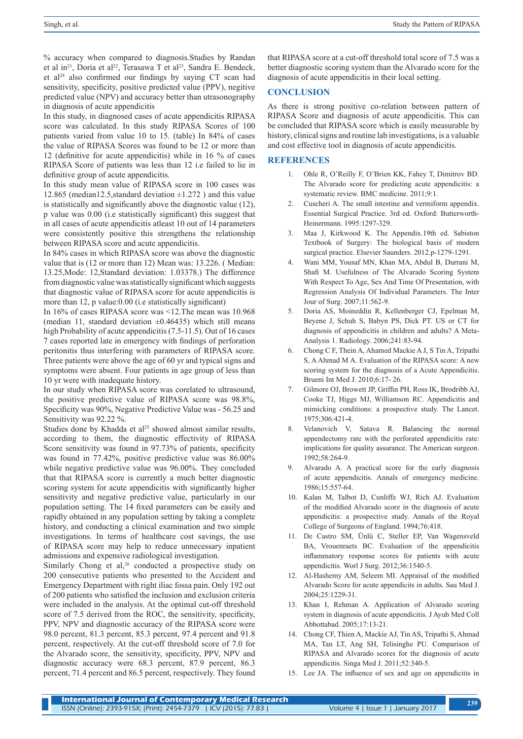% accuracy when compared to diagnosis.Studies by Randan et al in<sup>21</sup>, Doria et al<sup>22</sup>, Terasawa T et al<sup>23</sup>, Sandra E. Bendeck, et al24 also confirmed our findings by saying CT scan had sensitivity, specificity, positive predicted value (PPV), negitive predicted value (NPV) and accuracy better than utrasonography in diagnosis of acute appendicitis

In this study, in diagnosed cases of acute appendicitis RIPASA score was calculated. In this study RIPASA Scores of 100 patients varied from value 10 to 15. (table) In 84% of cases the value of RIPASA Scores was found to be 12 or more than 12 (definitive for acute appendicitis) while in 16 % of cases RIPASA Score of patients was less than 12 i.e failed to lie in definitive group of acute appendicitis.

In this study mean value of RIPASA score in 100 cases was 12.865 (median12.5, standard deviation  $\pm$ 1.272) and this value is statistically and significantly above the diagnostic value (12), p value was 0.00 (i.e statistically significant) this suggest that in all cases of acute appendicitis atleast 10 out of 14 parameters were consistently positive this strengthens the relationship between RIPASA score and acute appendicitis.

In 84% cases in which RIPASA score was above the diagnostic value that is (12 or more than 12) Mean was: 13.226. ( Median: 13.25,Mode: 12,Standard deviation: 1.03378.) The difference from diagnostic value was statistically significant which suggests that diagnostic value of RIPASA score for acute appendicitis is more than 12, p value:0.00 (i.e statistically significant)

In 16% of cases RIPASA score was <12.The mean was 10.968 (median 11, standard deviation  $\pm 0.46435$ ) which still means high Probability of acute appendicitis (7.5-11.5). Out of 16 cases 7 cases reported late in emergency with findings of perforation peritonitis thus interfering with parameters of RIPASA score. Three patients were above the age of 60 yr and typical signs and symptoms were absent. Four patients in age group of less than 10 yr were with inadequate history.

In our study when RIPASA score was corelated to ultrasound, the positive predictive value of RIPASA score was 98.8%, Specificity was 90%, Negative Predictive Value was - 56.25 and Sensitivity was 92.22 %.

Studies done by Khadda et  $al^{25}$  showed almost similar results, according to them, the diagnostic effectivity of RIPASA Score sensitivity was found in 97.73% of patients, specificity was found in 77.42%, positive predictive value was 86.00% while negative predictive value was 96,00%. They concluded that that RIPASA score is currently a much better diagnostic scoring system for acute appendicitis with significantly higher sensitivity and negative predictive value, particularly in our population setting. The 14 fixed parameters can be easily and rapidly obtained in any population setting by taking a complete history, and conducting a clinical examination and two simple investigations. In terms of healthcare cost savings, the use of RIPASA score may help to reduce unnecessary inpatient admissions and expensive radiological investigation.

Similarly Chong et al,<sup>26</sup> conducted a prospective study on 200 consecutive patients who presented to the Accident and Emergency Department with right iliac fossa pain. Only 192 out of 200 patients who satisfied the inclusion and exclusion criteria were included in the analysis. At the optimal cut-off threshold score of 7.5 derived from the ROC, the sensitivity, specificity, PPV, NPV and diagnostic accuracy of the RIPASA score were 98.0 percent, 81.3 percent, 85.3 percent, 97.4 percent and 91.8 percent, respectively. At the cut-off threshold score of 7.0 for the Alvarado score, the sensitivity, specificity, PPV, NPV and diagnostic accuracy were 68.3 percent, 87.9 percent, 86.3 percent, 71.4 percent and 86.5 percent, respectively. They found

that RIPASA score at a cut-off threshold total score of 7.5 was a better diagnostic scoring system than the Alvarado score for the diagnosis of acute appendicitis in their local setting.

### **CONCLUSION**

As there is strong positive co-relation between pattern of RIPASA Score and diagnosis of acute appendicitis. This can be concluded that RIPASA score which is easily measurable by history, clinical signs and routine lab investigations, is a valuable and cost effective tool in diagnosis of acute appendicitis.

#### **REFERENCES**

- 1. Ohle R, O'Reilly F, O'Brien KK, Fahey T, Dimitrov BD. The Alvarado score for predicting acute appendicitis: a systematic review. BMC medicine. 2011;9:1.
- 2. Cuscheri A. The small intestine and vermiform appendix. Essential Surgical Practice. 3rd ed. Oxford: Butterworth-Heinermann. 1995:1297-329.
- 3. Maa J, Kirkwood K. The Appendix.19th ed. Sabiston Textbook of Surgery: The biological basis of modern surgical practice. Elsevier Saunders. 2012.p-1279-1291.
- 4. Wani MM, Yousaf MN, Khan MA, Abdul B, Durrani M, Shafi M. Usefulness of The Alvarado Scoring System With Respect To Age, Sex And Time Of Presentation, with Regression Analysis Of Individual Parameters. The Inter Jour of Surg. 2007;11:562-9.
- 5. Doria AS, Moineddin R, Kellenberger CJ, Epelman M, Beyene J, Schuh S, Babyn PS, Dick PT. US or CT for diagnosis of appendicitis in children and adults? A Meta-Analysis 1. Radiology. 2006;241:83-94.
- 6. Chong C F, Thein A, Ahamed Mackie A J, S Tin A, Tripathi S, A Ahmad M A. Evaluation of the RIPASA score: A new scoring system for the diagnosis of a Acute Appendicitis. Brueni Int Med J. 2010;6:17- 26.
- 7. Gilmore OJ, Browett JP, Griffin PH, Ross IK, Brodribb AJ, Cooke TJ, Higgs MJ, Williamson RC. Appendicitis and mimicking conditions: a prospective study. The Lancet. 1975;306:421-4.
- 8. Velanovich V, Satava R. Balancing the normal appendectomy rate with the perforated appendicitis rate: implications for quality assurance. The American surgeon. 1992;58:264-9.
- Alvarado A. A practical score for the early diagnosis of acute appendicitis. Annals of emergency medicine. 1986;15:557-64.
- 10. Kalan M, Talbot D, Cunliffe WJ, Rich AJ. Evaluation of the modified Alvarado score in the diagnosis of acute appendicitis: a prospective study. Annals of the Royal College of Surgeons of England. 1994;76:418.
- 11. De Castro SM, Ünlü C, Steller EP, Van Wagensveld BA, Vrouenraets BC. Evaluation of the appendicitis inflammatory response scores for patients with acute appendicitis. Worl J Surg. 2012;36:1540-5.
- 12. Al-Hashemy AM, Seleem MI. Appraisal of the modified Alvarado Score for acute appendicits in adults. Sau Med J. 2004;25:1229-31.
- 13. Khan I, Rehman A. Application of Alvarado scoring system in diagnosis of acute appendicitis. J Ayub Med Coll Abbottabad. 2005;17:13-21.
- 14. Chong CF, Thien A, Mackie AJ, Tin AS, Tripathi S, Ahmad MA, Tan LT, Ang SH, Telisinghe PU. Comparison of RIPASA and Alvarado scores for the diagnosis of acute appendicitis. Singa Med J. 2011;52:340-5.
- 15. Lee JA. The influence of sex and age on appendicitis in